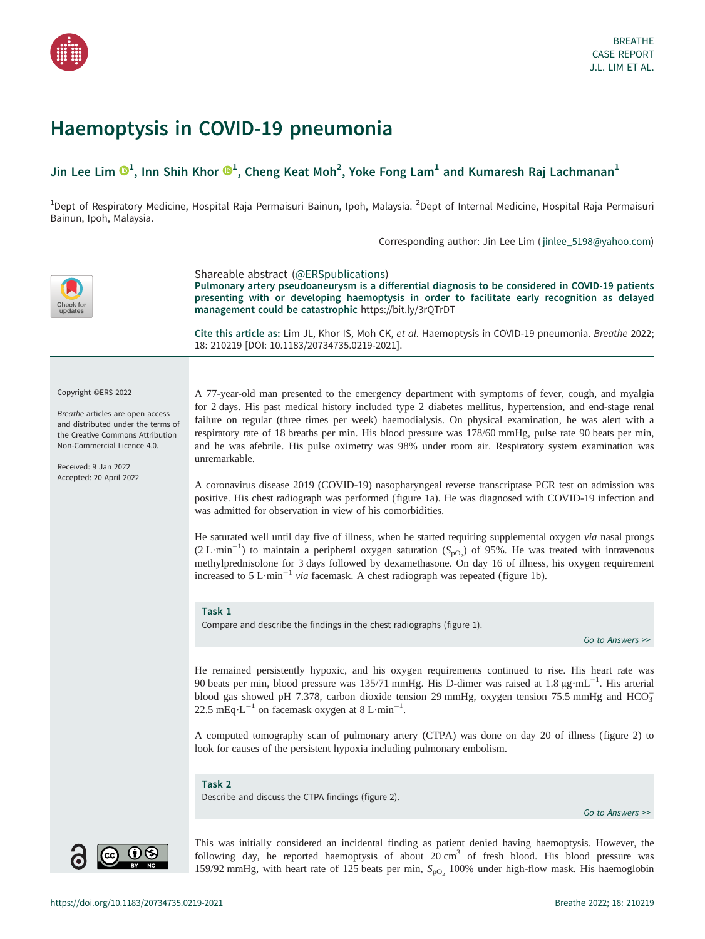<span id="page-0-0"></span>

# Haemoptysis in COVID-19 pneumonia

# Jin Lee Lim  $\mathbf{O}^1$ , Inn Shih Khor  $\mathbf{O}^1$ , Cheng Keat Moh<sup>2</sup>, Yoke Fong Lam<sup>1</sup> and Kumaresh Raj Lachmanan<sup>1</sup>

<sup>1</sup>Dept of Respiratory Medicine, Hospital Raja Permaisuri Bainun, Ipoh, Malaysia. <sup>2</sup>Dept of Internal Medicine, Hospital Raja Permaisuri Bainun, Ipoh, Malaysia.

Corresponding author: Jin Lee Lim ( [jinlee\\_5198@yahoo.com](mailto:jinlee_5198@yahoo.com))

| heck for:<br>updates                                                                                                                                                                                                | Shareable abstract (@ERSpublications)<br>Pulmonary artery pseudoaneurysm is a differential diagnosis to be considered in COVID-19 patients<br>presenting with or developing haemoptysis in order to facilitate early recognition as delayed<br>management could be catastrophic https://bit.ly/3rQTrDT<br>Cite this article as: Lim JL, Khor IS, Moh CK, et al. Haemoptysis in COVID-19 pneumonia. Breathe 2022;<br>18: 210219 [DOI: 10.1183/20734735.0219-2021].                                                                                                                                                                                                                                                                                                                                                                                                                                                                                                                                                                                                                                                                                                                                                                                                                                                   |
|---------------------------------------------------------------------------------------------------------------------------------------------------------------------------------------------------------------------|---------------------------------------------------------------------------------------------------------------------------------------------------------------------------------------------------------------------------------------------------------------------------------------------------------------------------------------------------------------------------------------------------------------------------------------------------------------------------------------------------------------------------------------------------------------------------------------------------------------------------------------------------------------------------------------------------------------------------------------------------------------------------------------------------------------------------------------------------------------------------------------------------------------------------------------------------------------------------------------------------------------------------------------------------------------------------------------------------------------------------------------------------------------------------------------------------------------------------------------------------------------------------------------------------------------------|
|                                                                                                                                                                                                                     |                                                                                                                                                                                                                                                                                                                                                                                                                                                                                                                                                                                                                                                                                                                                                                                                                                                                                                                                                                                                                                                                                                                                                                                                                                                                                                                     |
| Copyright ©ERS 2022<br>Breathe articles are open access<br>and distributed under the terms of<br>the Creative Commons Attribution<br>Non-Commercial Licence 4.0.<br>Received: 9 Jan 2022<br>Accepted: 20 April 2022 | A 77-year-old man presented to the emergency department with symptoms of fever, cough, and myalgia<br>for 2 days. His past medical history included type 2 diabetes mellitus, hypertension, and end-stage renal<br>failure on regular (three times per week) haemodialysis. On physical examination, he was alert with a<br>respiratory rate of 18 breaths per min. His blood pressure was 178/60 mmHg, pulse rate 90 beats per min,<br>and he was afebrile. His pulse oximetry was 98% under room air. Respiratory system examination was<br>unremarkable.<br>A coronavirus disease 2019 (COVID-19) nasopharyngeal reverse transcriptase PCR test on admission was<br>positive. His chest radiograph was performed (figure 1a). He was diagnosed with COVID-19 infection and<br>was admitted for observation in view of his comorbidities.<br>He saturated well until day five of illness, when he started requiring supplemental oxygen via nasal prongs<br>$(2 L \cdot min^{-1})$ to maintain a peripheral oxygen saturation (S <sub>pO2</sub> ) of 95%. He was treated with intravenous<br>methylprednisolone for 3 days followed by dexamethasone. On day 16 of illness, his oxygen requirement<br>increased to $5 \text{ L} \cdot \text{min}^{-1}$ via facemask. A chest radiograph was repeated (figure 1b). |
|                                                                                                                                                                                                                     | Task 1                                                                                                                                                                                                                                                                                                                                                                                                                                                                                                                                                                                                                                                                                                                                                                                                                                                                                                                                                                                                                                                                                                                                                                                                                                                                                                              |
|                                                                                                                                                                                                                     | Compare and describe the findings in the chest radiographs (figure 1).                                                                                                                                                                                                                                                                                                                                                                                                                                                                                                                                                                                                                                                                                                                                                                                                                                                                                                                                                                                                                                                                                                                                                                                                                                              |
|                                                                                                                                                                                                                     | Go to Answers >>                                                                                                                                                                                                                                                                                                                                                                                                                                                                                                                                                                                                                                                                                                                                                                                                                                                                                                                                                                                                                                                                                                                                                                                                                                                                                                    |
|                                                                                                                                                                                                                     | He remained persistently hypoxic, and his oxygen requirements continued to rise. His heart rate was<br>90 beats per min, blood pressure was 135/71 mmHg. His D-dimer was raised at 1.8 $\mu$ g·mL <sup>-1</sup> . His arterial<br>blood gas showed pH 7.378, carbon dioxide tension 29 mmHg, oxygen tension 75.5 mmHg and HCO <sub>3</sub><br>22.5 mEq·L <sup>-1</sup> on facemask oxygen at 8 L·min <sup>-1</sup> .                                                                                                                                                                                                                                                                                                                                                                                                                                                                                                                                                                                                                                                                                                                                                                                                                                                                                                |
|                                                                                                                                                                                                                     | A computed tomography scan of pulmonary artery (CTPA) was done on day 20 of illness (figure 2) to<br>look for causes of the persistent hypoxia including pulmonary embolism.                                                                                                                                                                                                                                                                                                                                                                                                                                                                                                                                                                                                                                                                                                                                                                                                                                                                                                                                                                                                                                                                                                                                        |
|                                                                                                                                                                                                                     |                                                                                                                                                                                                                                                                                                                                                                                                                                                                                                                                                                                                                                                                                                                                                                                                                                                                                                                                                                                                                                                                                                                                                                                                                                                                                                                     |
|                                                                                                                                                                                                                     | Task 2<br>Describe and discuss the CTPA findings (figure 2).                                                                                                                                                                                                                                                                                                                                                                                                                                                                                                                                                                                                                                                                                                                                                                                                                                                                                                                                                                                                                                                                                                                                                                                                                                                        |
|                                                                                                                                                                                                                     | Go to Answers >>                                                                                                                                                                                                                                                                                                                                                                                                                                                                                                                                                                                                                                                                                                                                                                                                                                                                                                                                                                                                                                                                                                                                                                                                                                                                                                    |
|                                                                                                                                                                                                                     | This was initially considered an incidental finding as patient denied having haemoptysis. However, the                                                                                                                                                                                                                                                                                                                                                                                                                                                                                                                                                                                                                                                                                                                                                                                                                                                                                                                                                                                                                                                                                                                                                                                                              |

following day, he reported haemoptysis of about  $20 \text{ cm}^3$  of fresh blood. His blood pressure was 159/92 mmHg, with heart rate of 125 beats per min,  $S_{\text{pO}_2}$  100% under high-flow mask. His haemoglobin

 $\odot$ 

 $\overline{M}$ 

 $\overline{\mathbf{c}}$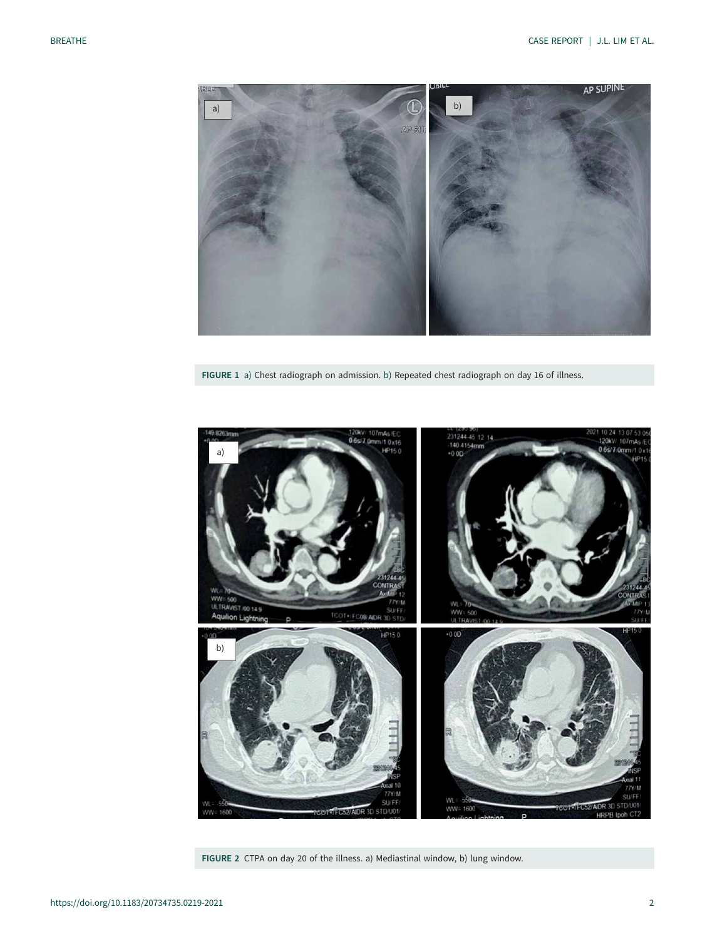<span id="page-1-0"></span>

FIGURE 1 a) Chest radiograph on admission. b) Repeated chest radiograph on day 16 of illness.



FIGURE 2 CTPA on day 20 of the illness. a) Mediastinal window, b) lung window.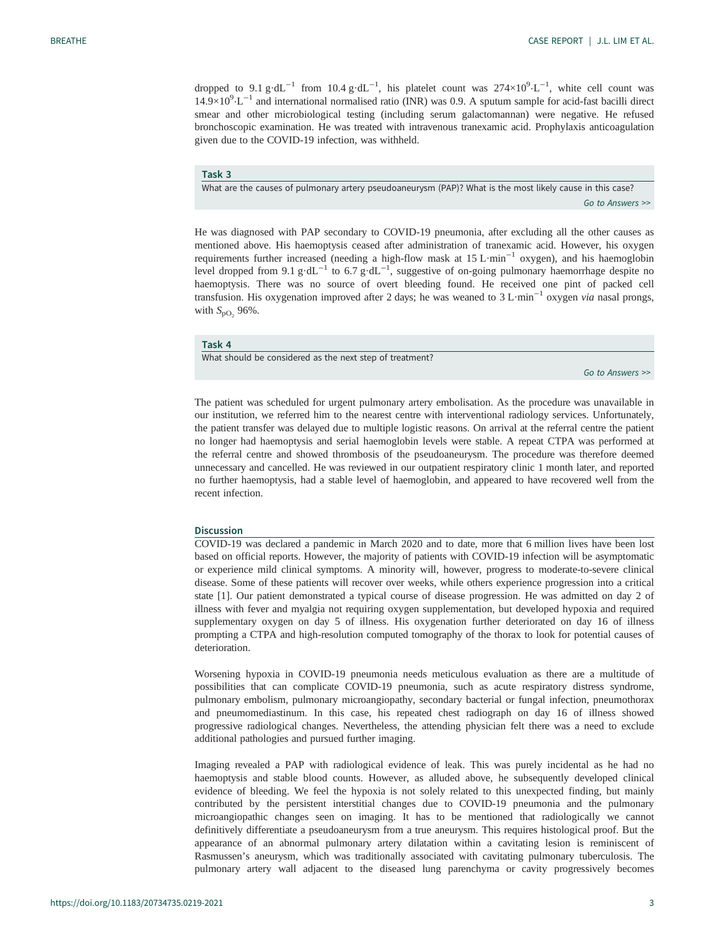<span id="page-2-0"></span>dropped to  $9.1 \text{ g} \cdot dL^{-1}$  from  $10.4 \text{ g} \cdot dL^{-1}$ , his platelet count was  $274\times10^{9} \cdot L^{-1}$ , white cell count was  $14.9\times10^{9} \cdot L^{-1}$  and international normalised ratio (INR) was 0.9. A sputum sample for acid-fast bacilli direct smear and other microbiological testing (including serum galactomannan) were negative. He refused bronchoscopic examination. He was treated with intravenous tranexamic acid. Prophylaxis anticoagulation given due to the COVID-19 infection, was withheld.

#### Task 3

What are the causes of pulmonary artery pseudoaneurysm (PAP)? What is the most likely cause in this case? [Go to Answers >>](#page-4-0)

He was diagnosed with PAP secondary to COVID-19 pneumonia, after excluding all the other causes as mentioned above. His haemoptysis ceased after administration of tranexamic acid. However, his oxygen requirements further increased (needing a high-flow mask at  $15 \text{ L·min}^{-1}$  oxygen), and his haemoglobin level dropped from 9.1 g·dL<sup>-1</sup> to 6.7 g·dL<sup>-1</sup>, suggestive of on-going pulmonary haemorrhage despite no haemoptysis. There was no source of overt bleeding found. He received one pint of packed cell transfusion. His oxygenation improved after 2 days; he was weaned to 3 L·min<sup>-1</sup> oxygen *via* nasal prongs, with  $S_{\text{pO}_2}$  96%.

### Task 4

What should be considered as the next step of treatment?

[Go to Answers >>](#page-4-0)

The patient was scheduled for urgent pulmonary artery embolisation. As the procedure was unavailable in our institution, we referred him to the nearest centre with interventional radiology services. Unfortunately, the patient transfer was delayed due to multiple logistic reasons. On arrival at the referral centre the patient no longer had haemoptysis and serial haemoglobin levels were stable. A repeat CTPA was performed at the referral centre and showed thrombosis of the pseudoaneurysm. The procedure was therefore deemed unnecessary and cancelled. He was reviewed in our outpatient respiratory clinic 1 month later, and reported no further haemoptysis, had a stable level of haemoglobin, and appeared to have recovered well from the recent infection.

#### Discussion

COVID-19 was declared a pandemic in March 2020 and to date, more that 6 million lives have been lost based on official reports. However, the majority of patients with COVID-19 infection will be asymptomatic or experience mild clinical symptoms. A minority will, however, progress to moderate-to-severe clinical disease. Some of these patients will recover over weeks, while others experience progression into a critical state [[1](#page-4-0)]. Our patient demonstrated a typical course of disease progression. He was admitted on day 2 of illness with fever and myalgia not requiring oxygen supplementation, but developed hypoxia and required supplementary oxygen on day 5 of illness. His oxygenation further deteriorated on day 16 of illness prompting a CTPA and high-resolution computed tomography of the thorax to look for potential causes of deterioration.

Worsening hypoxia in COVID-19 pneumonia needs meticulous evaluation as there are a multitude of possibilities that can complicate COVID-19 pneumonia, such as acute respiratory distress syndrome, pulmonary embolism, pulmonary microangiopathy, secondary bacterial or fungal infection, pneumothorax and pneumomediastinum. In this case, his repeated chest radiograph on day 16 of illness showed progressive radiological changes. Nevertheless, the attending physician felt there was a need to exclude additional pathologies and pursued further imaging.

Imaging revealed a PAP with radiological evidence of leak. This was purely incidental as he had no haemoptysis and stable blood counts. However, as alluded above, he subsequently developed clinical evidence of bleeding. We feel the hypoxia is not solely related to this unexpected finding, but mainly contributed by the persistent interstitial changes due to COVID-19 pneumonia and the pulmonary microangiopathic changes seen on imaging. It has to be mentioned that radiologically we cannot definitively differentiate a pseudoaneurysm from a true aneurysm. This requires histological proof. But the appearance of an abnormal pulmonary artery dilatation within a cavitating lesion is reminiscent of Rasmussen's aneurysm, which was traditionally associated with cavitating pulmonary tuberculosis. The pulmonary artery wall adjacent to the diseased lung parenchyma or cavity progressively becomes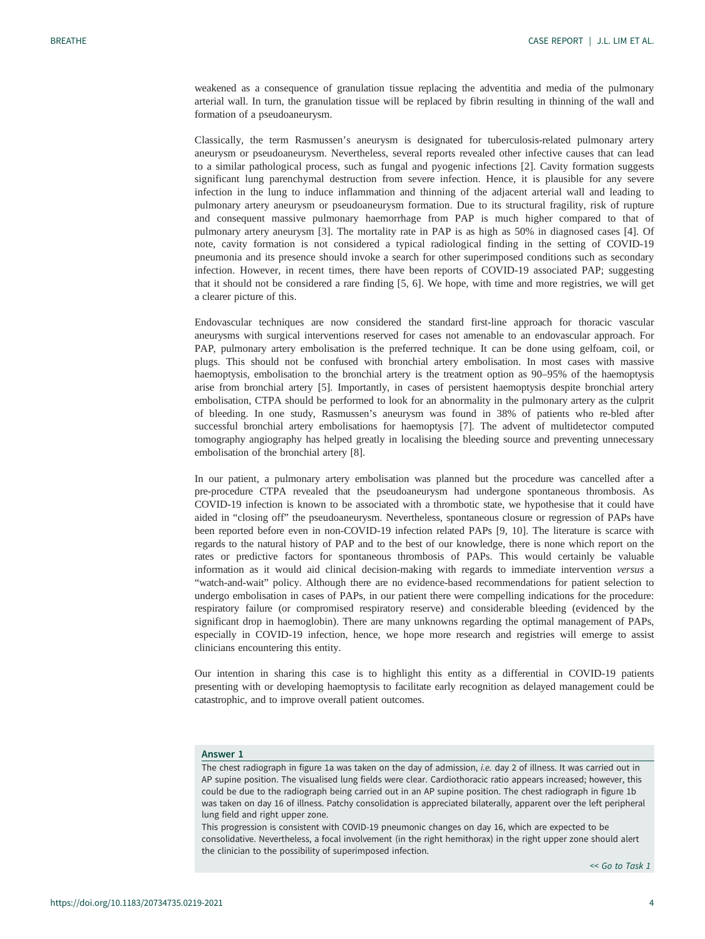<span id="page-3-0"></span>weakened as a consequence of granulation tissue replacing the adventitia and media of the pulmonary arterial wall. In turn, the granulation tissue will be replaced by fibrin resulting in thinning of the wall and formation of a pseudoaneurysm.

Classically, the term Rasmussen's aneurysm is designated for tuberculosis-related pulmonary artery aneurysm or pseudoaneurysm. Nevertheless, several reports revealed other infective causes that can lead to a similar pathological process, such as fungal and pyogenic infections [\[2\]](#page-4-0). Cavity formation suggests significant lung parenchymal destruction from severe infection. Hence, it is plausible for any severe infection in the lung to induce inflammation and thinning of the adjacent arterial wall and leading to pulmonary artery aneurysm or pseudoaneurysm formation. Due to its structural fragility, risk of rupture and consequent massive pulmonary haemorrhage from PAP is much higher compared to that of pulmonary artery aneurysm [[3](#page-4-0)]. The mortality rate in PAP is as high as 50% in diagnosed cases [\[4\]](#page-4-0). Of note, cavity formation is not considered a typical radiological finding in the setting of COVID-19 pneumonia and its presence should invoke a search for other superimposed conditions such as secondary infection. However, in recent times, there have been reports of COVID-19 associated PAP; suggesting that it should not be considered a rare finding [[5](#page-4-0), [6](#page-4-0)]. We hope, with time and more registries, we will get a clearer picture of this.

Endovascular techniques are now considered the standard first-line approach for thoracic vascular aneurysms with surgical interventions reserved for cases not amenable to an endovascular approach. For PAP, pulmonary artery embolisation is the preferred technique. It can be done using gelfoam, coil, or plugs. This should not be confused with bronchial artery embolisation. In most cases with massive haemoptysis, embolisation to the bronchial artery is the treatment option as 90–95% of the haemoptysis arise from bronchial artery [[5](#page-4-0)]. Importantly, in cases of persistent haemoptysis despite bronchial artery embolisation, CTPA should be performed to look for an abnormality in the pulmonary artery as the culprit of bleeding. In one study, Rasmussen's aneurysm was found in 38% of patients who re-bled after successful bronchial artery embolisations for haemoptysis [\[7\]](#page-4-0). The advent of multidetector computed tomography angiography has helped greatly in localising the bleeding source and preventing unnecessary embolisation of the bronchial artery [\[8\]](#page-4-0).

In our patient, a pulmonary artery embolisation was planned but the procedure was cancelled after a pre-procedure CTPA revealed that the pseudoaneurysm had undergone spontaneous thrombosis. As COVID-19 infection is known to be associated with a thrombotic state, we hypothesise that it could have aided in "closing off" the pseudoaneurysm. Nevertheless, spontaneous closure or regression of PAPs have been reported before even in non-COVID-19 infection related PAPs [\[9, 10](#page-4-0)]. The literature is scarce with regards to the natural history of PAP and to the best of our knowledge, there is none which report on the rates or predictive factors for spontaneous thrombosis of PAPs. This would certainly be valuable information as it would aid clinical decision-making with regards to immediate intervention versus a "watch-and-wait" policy. Although there are no evidence-based recommendations for patient selection to undergo embolisation in cases of PAPs, in our patient there were compelling indications for the procedure: respiratory failure (or compromised respiratory reserve) and considerable bleeding (evidenced by the significant drop in haemoglobin). There are many unknowns regarding the optimal management of PAPs, especially in COVID-19 infection, hence, we hope more research and registries will emerge to assist clinicians encountering this entity.

Our intention in sharing this case is to highlight this entity as a differential in COVID-19 patients presenting with or developing haemoptysis to facilitate early recognition as delayed management could be catastrophic, and to improve overall patient outcomes.

#### Answer 1

The chest radiograph in [figure 1a](#page-1-0) was taken on the day of admission, i.e. day 2 of illness. It was carried out in AP supine position. The visualised lung fields were clear. Cardiothoracic ratio appears increased; however, this could be due to the radiograph being carried out in an AP supine position. The chest radiograph in [figure 1b](#page-1-0) was taken on day 16 of illness. Patchy consolidation is appreciated bilaterally, apparent over the left peripheral lung field and right upper zone.

This progression is consistent with COVID-19 pneumonic changes on day 16, which are expected to be consolidative. Nevertheless, a focal involvement (in the right hemithorax) in the right upper zone should alert the clinician to the possibility of superimposed infection.